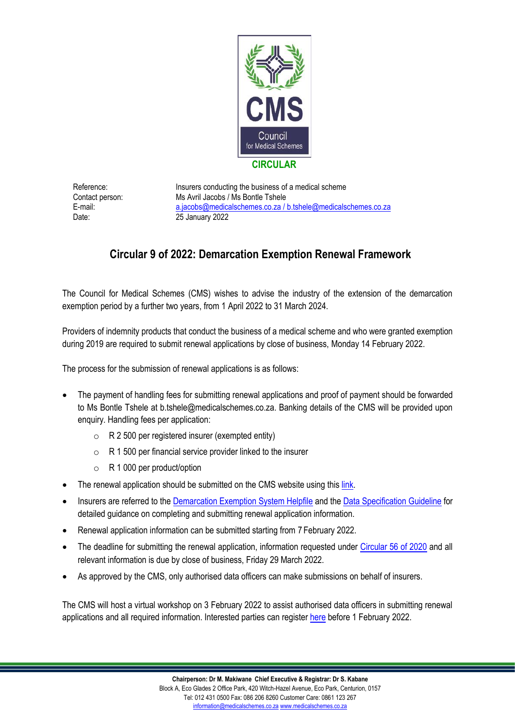

Reference: Insurers conducting the business of a medical scheme Contact person: Ms Avril Jacobs / Ms Bontle Tshele E-mail: a.jacobs@medicalschemes.co.za / [b.tshele@medicalschemes.co.za](mailto:lcbo@medicalschemes.com) Date: 25 January 2022

## **Circular 9 of 2022: Demarcation Exemption Renewal Framework**

The Council for Medical Schemes (CMS) wishes to advise the industry of the extension of the demarcation exemption period by a further two years, from 1 April 2022 to 31 March 2024.

Providers of indemnity products that conduct the business of a medical scheme and who were granted exemption during 2019 are required to submit renewal applications by close of business, Monday 14 February 2022.

The process for the submission of renewal applications is as follows:

- The payment of handling fees for submitting renewal applications and proof of payment should be forwarded to Ms Bontle Tshele at b.tshele@medicalschemes.co.za. Banking details of the CMS will be provided upon enquiry. Handling fees per application:
	- $\circ$  R 2 500 per registered insurer (exempted entity)
	- $\circ$  R 1 500 per financial service provider linked to the insurer
	- o R 1 000 per product/option
- The renewal application should be submitted on the CMS website using this [link.](https://www.medicalschemes.com/Apps/ASRUploadTool/publish.html)
- Insurers are referred to the [Demarcation Exemption System Helpfile](https://www.medicalschemes.co.za/download/3628/2022-guidelines-and-manuals-current/25193/demarcation-upload-helpfile.pdf) and the [Data Specification Guideline](https://www.medicalschemes.co.za/download/3628/2022-guidelines-and-manuals-current/25194/dataspecificationdemarcationsystem-id-932012.xlsx) for detailed guidance on completing and submitting renewal application information.
- Renewal application information can be submitted starting from 7 February 2022.
- The deadline for submitting the renewal application, information requested under [Circular 56 of 2020](https://www.medicalschemes.co.za/download/2559/2020-circulars-archive/21198/circular56of2020.pdf) and all relevant information is due by close of business, Friday 29 March 2022.
- As approved by the CMS, only authorised data officers can make submissions on behalf of insurers.

The CMS will host a virtual workshop on 3 February 2022 to assist authorised data officers in submitting renewal applications and all required information. Interested parties can registe[r here](https://forms.office.com/Pages/ResponsePage.aspx?id=nNuJI9Hzd0-BjDYvCnpXSK-AQdP-A0xFhLQK5jDLzHBUMkw4QzFPWlFLWVRYWTZLRzJCRzgwTjFRWi4u) before 1 February 2022.